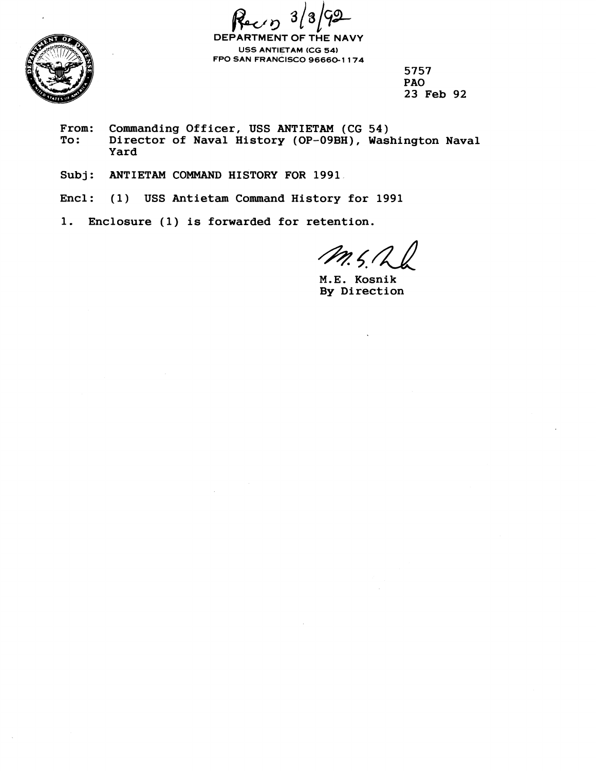$\boldsymbol{3}$ 



**DEPARTMENT OF THE NAVY USS ANTIETAM (CG 54) FPO SAN FRANCISCO 96660-1 174** 

> **5757 PA0 23 Feb 92**

- From: Commanding Officer, USS ANTIETAM (CG 54)<br>To: Director of Naval History (OP-09BH), Was **To: Director of Naval History (OP-09BH), Washington Naval Yard**
- **Subj: ANTIETAM COMMAND HISTORY FOR 1991**
- **Encl: (1) USS Antietam Command History for 1991**
- **1. Enclosure (1) is forwarded for retention.**

 $m, 5, 7$ 

**M.E. Kosnik By Direction**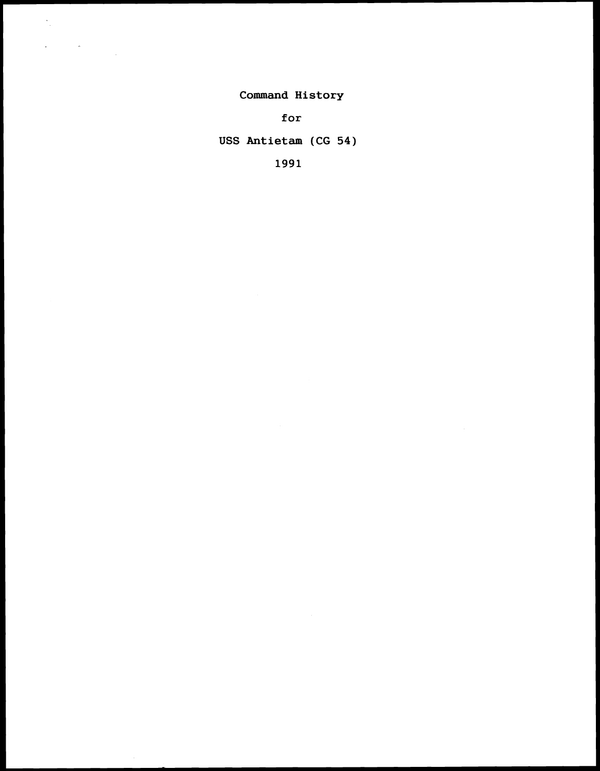Command History

 $\frac{1}{\sqrt{2}}$ 

 $\ddot{\phantom{0}}$ 

 $\label{eq:2.1} \frac{1}{\sqrt{2}}\sum_{i=1}^n\frac{1}{\sqrt{2}}\sum_{j=1}^n\frac{1}{\sqrt{2}}\sum_{j=1}^n\frac{1}{\sqrt{2}}\sum_{j=1}^n\frac{1}{\sqrt{2}}\sum_{j=1}^n\frac{1}{\sqrt{2}}\sum_{j=1}^n\frac{1}{\sqrt{2}}\sum_{j=1}^n\frac{1}{\sqrt{2}}\sum_{j=1}^n\frac{1}{\sqrt{2}}\sum_{j=1}^n\frac{1}{\sqrt{2}}\sum_{j=1}^n\frac{1}{\sqrt{2}}\sum_{j=1}^n\frac$ 

for

USS Antietam (CG 54)

1991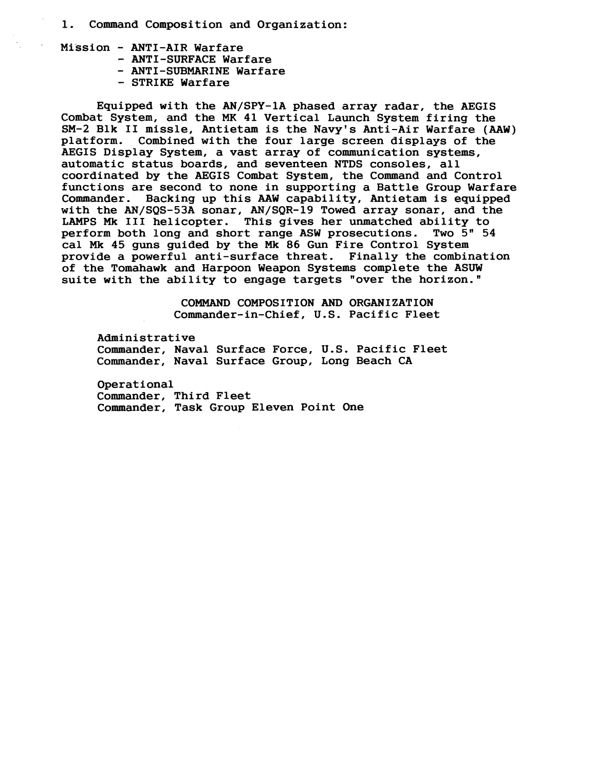- **1. Command Composition and Organization:**
- **Mission ANTI-AIR Warfare** 
	- **ANTI-SURFACE Warfare**
	- **ANTI-SUBMARINE Warfare**
	- **STRIKE Warfare**

**Equipped with the AN/SPY-1A phased array radar, the AEGIS Combat System, and the MK 41 Vertical Launch System firing the SM-2 Blk I1 missle, Antietam is the Navy's Anti-Air Warfare (AAW)**  Combined with the four large screen displays of the **AEGIS Display System, a vast array of communication systems, automatic status boards, and seventeen NTDS consoles, all coordinated by the AEGIS Combat System, the Command and Control functions are second to none in supporting a Battle Group Warfare Commander. Backing up this AAW capability, Antietam is equipped with the AN/SQS-53A sonar, AN/SQR-19 Towed array sonar, and the**  This gives her unmatched ability to **perform both long and short range ASW prosecutions. Two 5" 54 cal Mk 45 guns guided by the Mk 86 Gun Fire Control System provide a powerful anti-surface threat. Finally the combination of the Tomahawk and Harpoon Weapon Systems complete the ASUW suite with the ability to engage targets "over the horizon."** 

> **COMMAND COMPOSITION AND ORGANIZATION Commander-in-Chief, U.S. Pacific Fleet**

**Administrative Commander, Naval Surface Force, U.S. Pacific Fleet Commander, Naval Surface Group, Long Beach CA** 

**Operational Commander, Third Fleet Commander, Task Group Eleven Point One**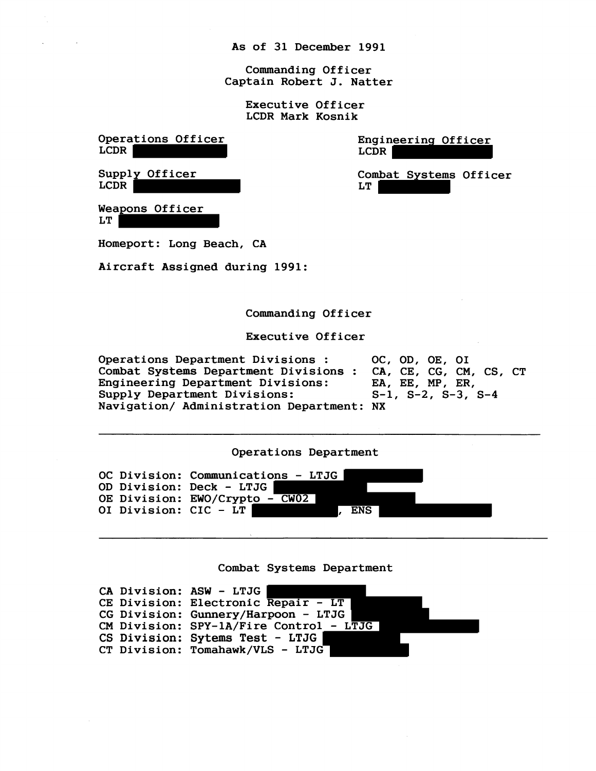As of 31 December 1991

Commanding Officer Captain Robert J. Natter

> Executive Officer LCDR Mark Kosnik

Operations Officer LCDR Supply Officer LCDR Engineering Officer LCDR Combat Systems Officer LT Weapons Officer LT Homeport: Long Beach, CA Aircraft Assigned during 1991: Commanding Officer Executive Officer Operations Department Divisions : 0C, OD, OE, OI<br>Combat Systems Department Divisions : CA, CE, CG, CM, CS, CT Combat Systems Department Divisions : CA, CE, CG, CM, Engineering Department Divisions: EA, EE, MP, ER, Engineering Department Divisions: EA, EE, MP, ER,<br>Supply Department Divisions: S-1, S-2, S-3, S-4 Supply Department Divisions: Navigation/ Administration Department: NX Operations Department OC Division: Communications - LTJG OD Division: Deck - LTJG OE Division: EWO/Crypto - CW02 OI Division: CIC - LT , ENS Combat Systems Department CA Division: ASW - LTJG CE Division: Electronic Repair - LT CG Division: Gunnery/Harpoon - LTJG

CS Division: **Sytems Test** - **LTJG**  CT Division: Tomahawk/VLS - LTJG

CM Division: SPY-lA/Fire Control - LTJG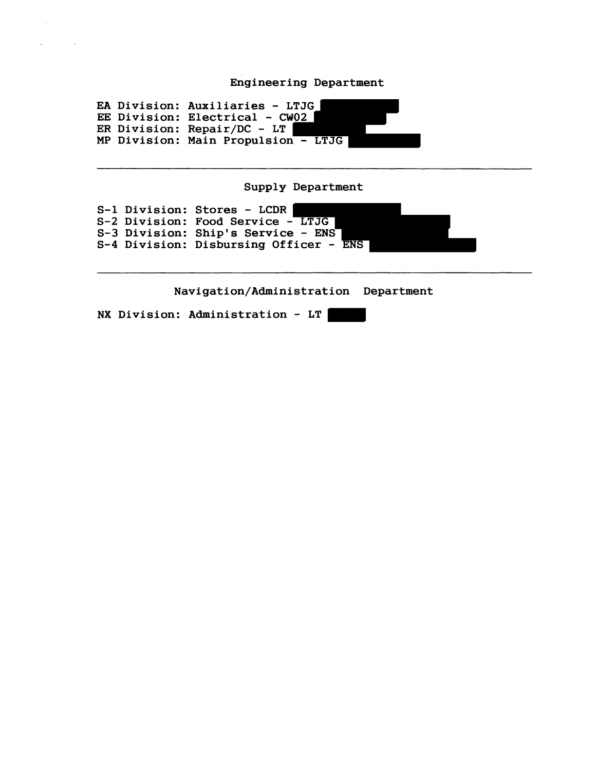## Engineering Department

EA Division: Auxiliaries - LTJG EA DIVISION: AUXITIATIES - LIJG<br>EE Division: Electrical - CW<u>02</u> ER Division: Electrical - CW<br>ER Division: Repair/DC - LT MP Division: Main Propulsion - LTJG

Supply Department

S-1 Division: Stores - LCDR | S-1 DIVISION: Stoles - LCDR<br>S-2 Division: Food Service - LTJG S-2 Division: Food Service - Liby<br>S-3 Division: Ship's Service - ENS S-3 DIVISION: SHIP S SEIVICE - ENS<br>S-4 Division: Disbursing Officer - ENS

**Navigation/Administration** Department

NX Division: Administration - LT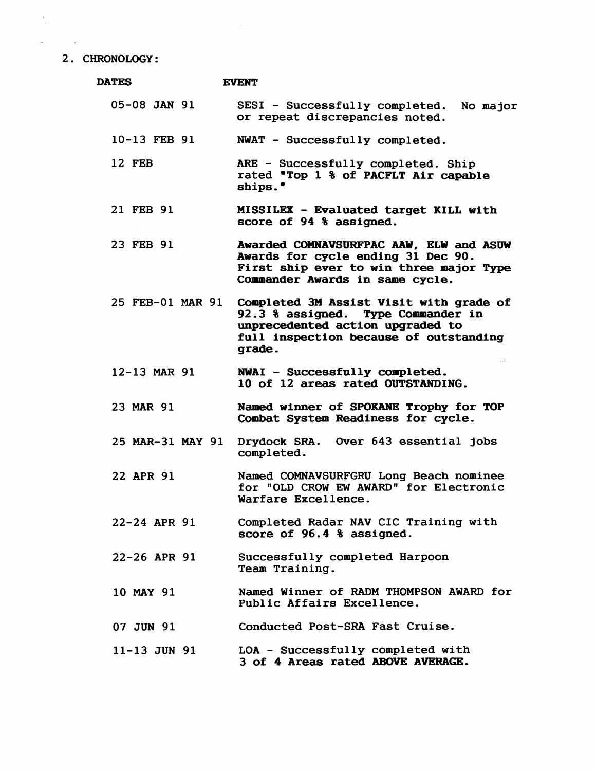## **2. CHRONOLOGY:**

| <b>DATES</b>     | <b>EVENT</b>                                                                                                                                                          |
|------------------|-----------------------------------------------------------------------------------------------------------------------------------------------------------------------|
| $05-08$ JAN $91$ | SESI - Successfully completed. No major<br>or repeat discrepancies noted.                                                                                             |
| 10-13 FEB 91     | NWAT - Successfully completed.                                                                                                                                        |
| 12 FEB           | ARE - Successfully completed. Ship<br>rated "Top 1 % of PACFLT Air capable<br>ships."                                                                                 |
| 21 FEB 91        | MISSILEX - Evaluated target KILL with<br>score of 94 % assigned.                                                                                                      |
| 23 FEB 91        | Awarded COMNAVSURFPAC AAW, ELW and ASUW<br>Awards for cycle ending 31 Dec 90.<br>First ship ever to win three major Type<br>Commander Awards in same cycle.           |
| 25 FEB-01 MAR 91 | Completed 3M Assist Visit with grade of<br>92.3 % assigned. Type Commander in<br>unprecedented action upgraded to<br>full inspection because of outstanding<br>grade. |
| 12-13 MAR 91     | NWAI - Successfully completed.<br>10 of 12 areas rated OUTSTANDING.                                                                                                   |
| 23 MAR 91        | Named winner of SPOKANE Trophy for TOP<br>Combat System Readiness for cycle.                                                                                          |
| 25 MAR-31 MAY 91 | Drydock SRA. Over 643 essential jobs<br>completed.                                                                                                                    |
| 22 APR 91        | Named COMNAVSURFGRU Long Beach nominee<br>for "OLD CROW EW AWARD" for Electronic<br>Warfare Excellence.                                                               |
| $22-24$ APR 91   | Completed Radar NAV CIC Training with<br>score of 96.4 % assigned.                                                                                                    |
| 22-26 APR 91     | Successfully completed Harpoon<br>Team Training.                                                                                                                      |
| 10 MAY 91        | Named Winner of RADM THOMPSON AWARD for<br>Public Affairs Excellence.                                                                                                 |
| 07 JUN 91        | Conducted Post-SRA Fast Cruise.                                                                                                                                       |
| $11 - 13$ JUN 91 | LOA - Successfully completed with<br>3 of 4 Areas rated ABOVE AVERAGE.                                                                                                |

 $\frac{1}{2}$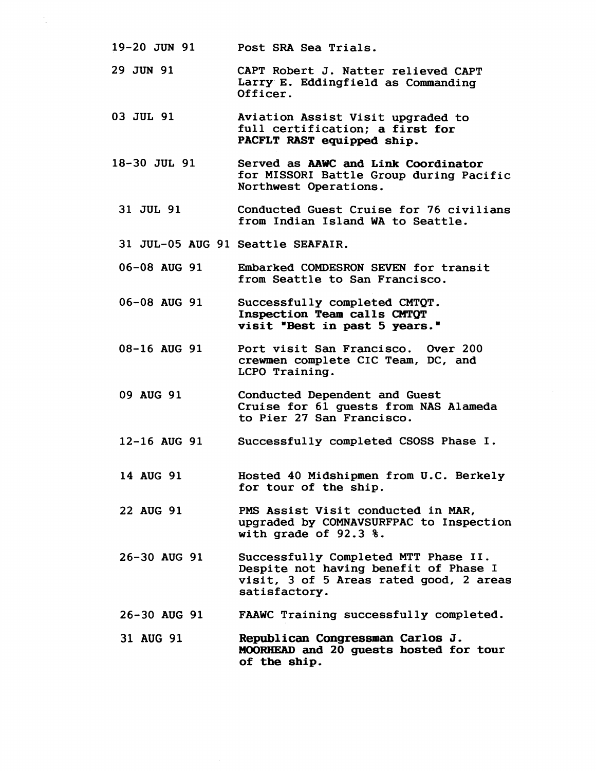- **19-20 JUN 91 Post SRA Sea Trials.**
- **29 JUN 91 CAPT Robert J. Natter relieved CAPT Larry.E. Eddingfield as Commanding Officer.**
- **03 JUL 91 Aviation Assist Visit upgraded to full certification; a first for PACFLT RAST equipped ship.**
- **18-30 JUL 91 Served as AAWC and Link Coordinator for MISSORI Battle Group during Pacific Northwest Operations.** 
	- **31 JUL 91 Conducted Guest Cruise for 76 civilians from Indian Island WA to Seattle.**
	- **31 JUL-05 AUG 91 Seattle SEAFAIR.**
	- **06-08 AUG 91 Embarked COMDESRON SEVEN for transit from Seattle to San Francisco.**
	- **06-08 AUG 91 Successfully completed CMTQT. Inspection Team calls CMTQT**  visit "Best in past 5 years."
	- **08-16 AUG 91 Port visit San Francisco. Over 200 crewmen complete CIC Team, DC, and LCPO Training.**
	- **09 AUG 91 Conducted Dependent and Guest Cruise for 61 guests from NAS Alameda to Pier 27 San Francisco.**
	- **12-16 AUG 91 Successfully completed CSOSS Phase I.**
	- **14 AUG 91 Hosted 40 Midshipmen from U.C. Berkely for tour of the ship.**
	- **22 AUG 91 PMS Assist Visit conducted in MAR, upgraded by COMNAVSURFPAC to Inspection with grade of 92.3** %.
- **26-30 AUG 91 Successfully Completed MTT Phase 11. Despite not having benefit of Phase I visit, 3 of 5 Areas rated good, 2 areas satisfactory.**
- **26-30 AUG 91 FAAWC Training successfully completed.**

**31 AUG 91 Republican Congressman Carlos J,**  MIORHEAD **and 20 guests hosted for tour of the ship,**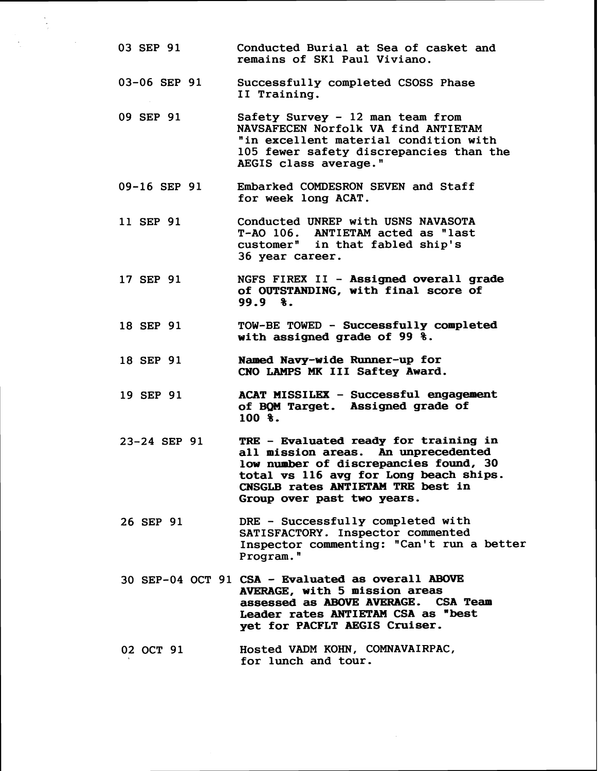**03 SEP 91 Conducted Burial at Sea of casket and remains of SKI Paul Viviano. 03-06 SEP 91 Successfully completed CSOSS Phase I1 Training. 09 SEP 91 Safety Survey** - **12 man team from NAVSAFECEN Norfolk VA find ANTIETAM "in excellent material condition with 105 fewer safety discrepancies than the AEGIS class average." 09-16 SEP 91 Embarked COMDESRON SEVEN and Staff for week long ACAT. 11 SEP 91 Conducted UNREP with USNS NAVASOTA T-A0 106. ANTIETAM acted as "last customerw in that fabled ship's 36 year career. 17 SEP 91 18 SEP 91 18 SEP 91 19 SEP 91 23-24 SEP 91 26 SEP 91 NGFS FIREX 11** - **Assigned overall grade of OUTSTANDING, with final score of 99.9** %. **TOW-BE TOWED** - **Successfully completed with assigned grade of 99** %. **Named Navy-wide Runner-up for CNO LAMPS MK I11 Saftey Award. ACAT MISSILEX** - **Successful engagement of BQM Target. Assigned grade of 100** %. **TRE** - **Evaluated ready for training in all mission areas. An unprecedented low number of discrepancies found, 30 total vs 116 avg for Long beach ships. CNSGLB** rates **ANTIETAM** TRE best in **Group over past two years. DRE** - **Successfully completed with SATISFACTORY. Inspector commented Inspector commenting: "Can't run a better Program.** " **30 SEP-04 OCT 91 CSA** - **Evaluated as overall ABOVE AVERAGE, with 5 mission areas**  assessed as **ABOVE AVERAGE. Leader rates ANTIETAM CSA as "best yet for PACFLT AEGIS Cruiser. 02 OCT 91 Hosted VADM KOHN, COMNAVAIRPAC, for lunch and tour.**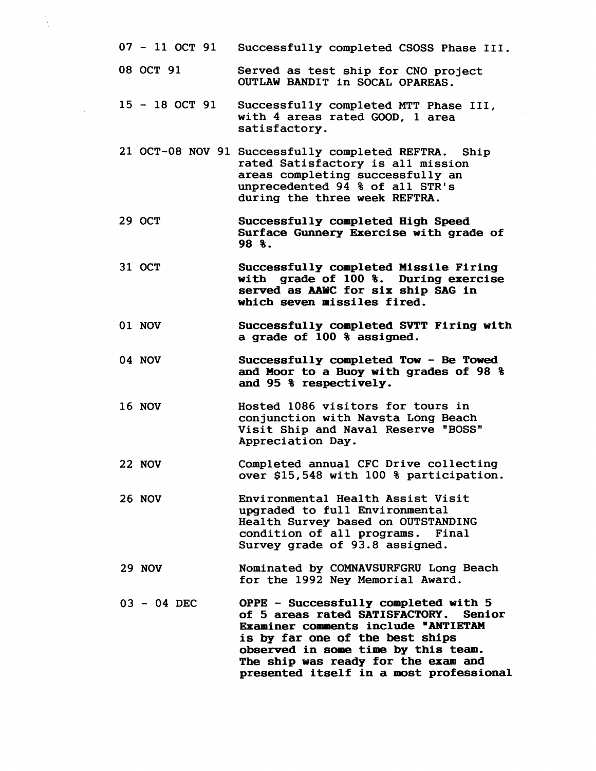- 07 11 OCT 91 Successfully completed CSOSS Phase III.
- 08 OCT 91 Served as test ship for CNO project OUTLAW BANDIT in SOCAL OPAREAS.
- <sup>15</sup> 18 OCT 91 Successfully completed MTT Phase 111, with 4 areas rated GOOD, 1 area satisfactory.
- 21 OCT-08 NOV 91 Successfully completed REFTRA. Ship rated Satisfactory is all mission areas completing successfully an unprecedented 94 % of all STR's during the three week REFTRA.
- 29 OCT **Successfully completed High Speed Surface Gunnery Exercise with grade of 98** %.
- 31 OCT **Successfully completed Missile Firing with grade of** 100 %. **During exercise served as MWC for six ship SAG in which seven missiles fired.**
- 01 NOV **Successfully completed SVTT Firing with a grade of** 100 % **assigned.**
- 04 NOV **Successfully completed Tow** - **Be Towed and Moor to a Buoy with grades of 98** % **and 95** % **respectively.**
- 16 NOV Hosted 1086 visitors for tours in conjunction with Navsta Long Beach Visit Ship and Naval Reserve "BOSS" Appreciation Day.
- 22 NOV Completed annual CFC Drive collecting over \$15,548 with 100 % participation.
- 26 NOV Environmental Health Assist Visit upgraded to full Environmental Health Survey based on OUTSTANDING condition of all programs. Final Survey grade of 93.8 assigned.
- 29 NOV Nominated by COMNAVSURFGRU Long Beach for the 1992 Ney Memorial Award.
- 03 04 DEC **OPPE** - **Successfully completed with 5 of 5 areas rated SATISFACTORY. Senior Examiner comments include "ANTIETAM is by far one gf the best ships observed in some time by this team. The ship was ready for the exam and presented itself in a most professional**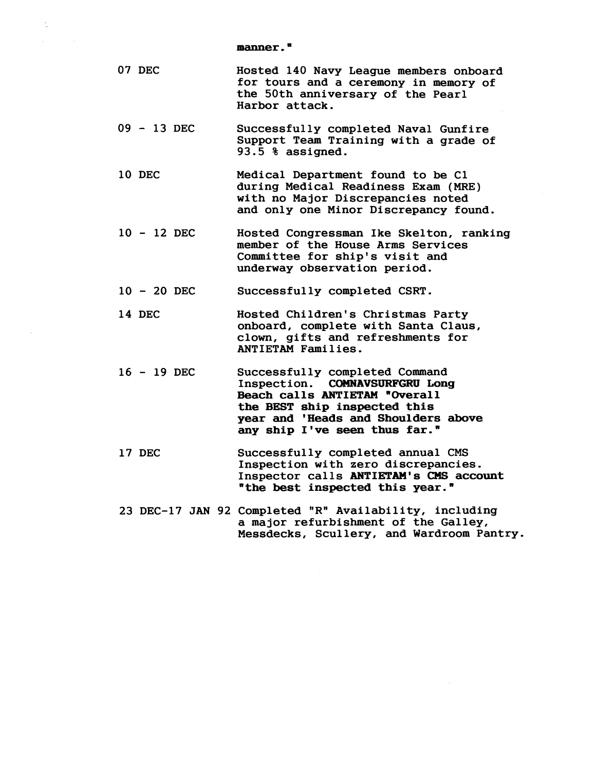**manner.** "

| 07 DEC | Hosted 140 Navy League members onboard |
|--------|----------------------------------------|
|        | for tours and a ceremony in memory of  |
|        | the 50th anniversary of the Pearl      |
|        | Harbor attack.                         |

- **<sup>09</sup> 13 DEC Successfully completed Naval Gunfire Support Team Training with a grade of 93.5** % **assigned.**
- **10 DEC Medical Department found to be C1 during Medical Readiness Exam (MRE) with no Major Discrepancies noted and only one Minor Discrepancy found.**
- **<sup>10</sup> 12 DEC Hosted Congressman Ike Skelton, ranking member of the House Arms Services Committee for ship's visit and underway observation period.**
- **<sup>10</sup> 20 DEC Successfully completed CSRT.**
- **14 DEC Hosted Children's Christmas Party onboard, complete with Santa Claus, clown, gifts and refreshments for ANTIETAM Families.**
- **<sup>16</sup> 19 DEC Successfully completed Command Inspection. COMNAVSURFGRU Long Beach calls ANTIETAM "Overall the BEST ship inspected this year and 'Heads and Shoulders above any ship I've seen thus far."**
- **17 DEC Successfully completed annual CMS Inspection with zero discrepancies. Inspector calls ANTIETAM'S CMS account "the best inspected this year."**
- 23 DEC-17 JAN 92 Completed "R" Availability, including **a major refurbishment of the Galley, Messdecks, Scullery, and Wardroom Pantry**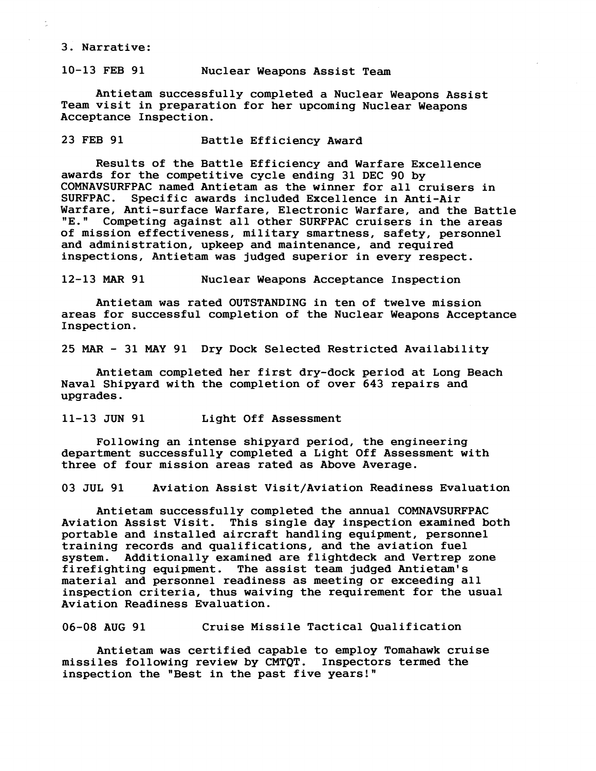## 3. Narrative:

## 10-13 FEB 91 Nuclear Weapons Assist Team

Antietam successfully completed a Nuclear Weapons Assist Team visit in preparation for her upcoming Nuclear Weapons Acceptance Inspection.

23 FEB 91 Battle Efficiency Award

Results of the Battle Efficiency and Warfare Excellence awards for the competitive cycle ending 31 DEC 90 by COMNAVSURFPAC named Antietam as the winner for all cruisers in Specific awards included Excellence in Anti-Air Warfare, Anti-surface Warfare, Electronic Warfare, and the Battle Warfare was and the Battle West Theorem Competing against all other SURFPAC cruisers in the areas Competing against all other SURFPAC cruisers in the areas of mission effectiveness, military smartness, safety, personnel and administration, upkeep and maintenance, and required inspections, Antietam was judged superior in every respect.

12-13 MAR 91 Nuclear Weapons Acceptance Inspection

Antietam was rated OUTSTANDING in ten of twelve mission areas for successful completion of the Nuclear Weapons Acceptance Inspection.

25 MAR - 31 MAY 91 Dry Dock Selected Restricted Availability

Antietam completed her first dry-dock period at Long Beach Naval Shipyard with the completion of over 643 repairs and upgrades.

11-13 JUN 91 Light Off Assessment

Following an intense shipyard period, the engineering department successfully completed a Light Off Assessment with three of four mission areas rated as Above Average.

03 JUL 91 Aviation Assist Visit/Aviation Readiness Evaluation

Antietam successfully completed the annual COMNAVSURFPAC Aviation Assist Visit. This single day inspection examined both portable and installed aircraft handling equipment, personnel training records and qualifications, and the aviation fuel<br>system. Additionally examined are flightdeck and Vertrep Additionally examined are flightdeck and Vertrep zone firefighting equipment. The assist team judged Antietam's material and personnel readiness as meeting or exceeding all inspection criteria, thus waiving the requirement for the usual Aviation Readiness Evaluation.

06-08 AUG 91 Cruise Missile Tactical Qualification

Antietam was certified capable to employ Tomahawk cruise missiles following review by CMTQT. Inspectors termed the inspection the "Best in the past five years!"